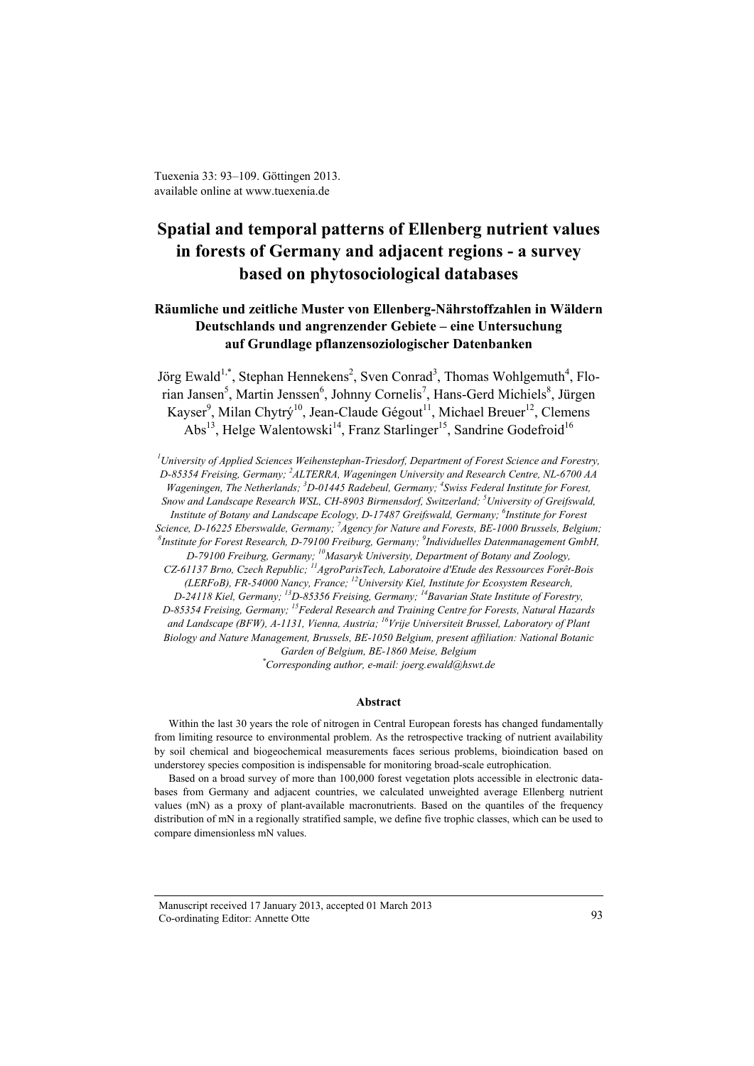Tuexenia 33: 93–109. Göttingen 2013. available online at www.tuexenia.de

# **Spatial and temporal patterns of Ellenberg nutrient values in forests of Germany and adjacent regions - a survey based on phytosociological databases**

# **Räumliche und zeitliche Muster von Ellenberg-Nährstoffzahlen in Wäldern Deutschlands und angrenzender Gebiete – eine Untersuchung auf Grundlage pflanzensoziologischer Datenbanken**

Jörg Ewald<sup>1,\*</sup>, Stephan Hennekens<sup>2</sup>, Sven Conrad<sup>3</sup>, Thomas Wohlgemuth<sup>4</sup>, Florian Jansen<sup>5</sup>, Martin Jenssen<sup>6</sup>, Johnny Cornelis<sup>7</sup>, Hans-Gerd Michiels<sup>8</sup>, Jürgen Kayser<sup>9</sup>, Milan Chytrý<sup>10</sup>, Jean-Claude Gégout<sup>11</sup>, Michael Breuer<sup>12</sup>, Clemens Abs<sup>13</sup>, Helge Walentowski<sup>14</sup>, Franz Starlinger<sup>15</sup>, Sandrine Godefroid<sup>16</sup>

*1 University of Applied Sciences Weihenstephan-Triesdorf, Department of Forest Science and Forestry, D-85354 Freising, Germany; 2 ALTERRA, Wageningen University and Research Centre, NL-6700 AA Wageningen, The Netherlands; 3 D-01445 Radebeul, Germany; <sup>4</sup> Swiss Federal Institute for Forest, Snow and Landscape Research WSL, CH-8903 Birmensdorf, Switzerland; <sup>5</sup> University of Greifswald, Institute of Botany and Landscape Ecology, D-17487 Greifswald, Germany; 6 Institute for Forest Science, D-16225 Eberswalde, Germany; <sup>7</sup> Agency for Nature and Forests, BE-1000 Brussels, Belgium; 8 Institute for Forest Research, D-79100 Freiburg, Germany; 9 Individuelles Datenmanagement GmbH, D-79100 Freiburg, Germany; 10Masaryk University, Department of Botany and Zoology, CZ-61137 Brno, Czech Republic; 11AgroParisTech, Laboratoire d'Etude des Ressources Forêt-Bois (LERFoB), FR-54000 Nancy, France; 12University Kiel, Institute for Ecosystem Research, D-24118 Kiel, Germany; 13D-85356 Freising, Germany; 14Bavarian State Institute of Forestry, D-85354 Freising, Germany; 15Federal Research and Training Centre for Forests, Natural Hazards and Landscape (BFW), A-1131, Vienna, Austria; 16Vrije Universiteit Brussel, Laboratory of Plant Biology and Nature Management, Brussels, BE-1050 Belgium, present affiliation: National Botanic* 

*Garden of Belgium, BE-1860 Meise, Belgium*

*\* Corresponding author, e-mail: joerg.ewald@hswt.de*

#### **Abstract**

Within the last 30 years the role of nitrogen in Central European forests has changed fundamentally from limiting resource to environmental problem. As the retrospective tracking of nutrient availability by soil chemical and biogeochemical measurements faces serious problems, bioindication based on understorey species composition is indispensable for monitoring broad-scale eutrophication.

Based on a broad survey of more than 100,000 forest vegetation plots accessible in electronic databases from Germany and adjacent countries, we calculated unweighted average Ellenberg nutrient values (mN) as a proxy of plant-available macronutrients. Based on the quantiles of the frequency distribution of mN in a regionally stratified sample, we define five trophic classes, which can be used to compare dimensionless mN values.

Manuscript received 17 January 2013, accepted 01 March 2013 Co-ordinating Editor: Annette Otte 93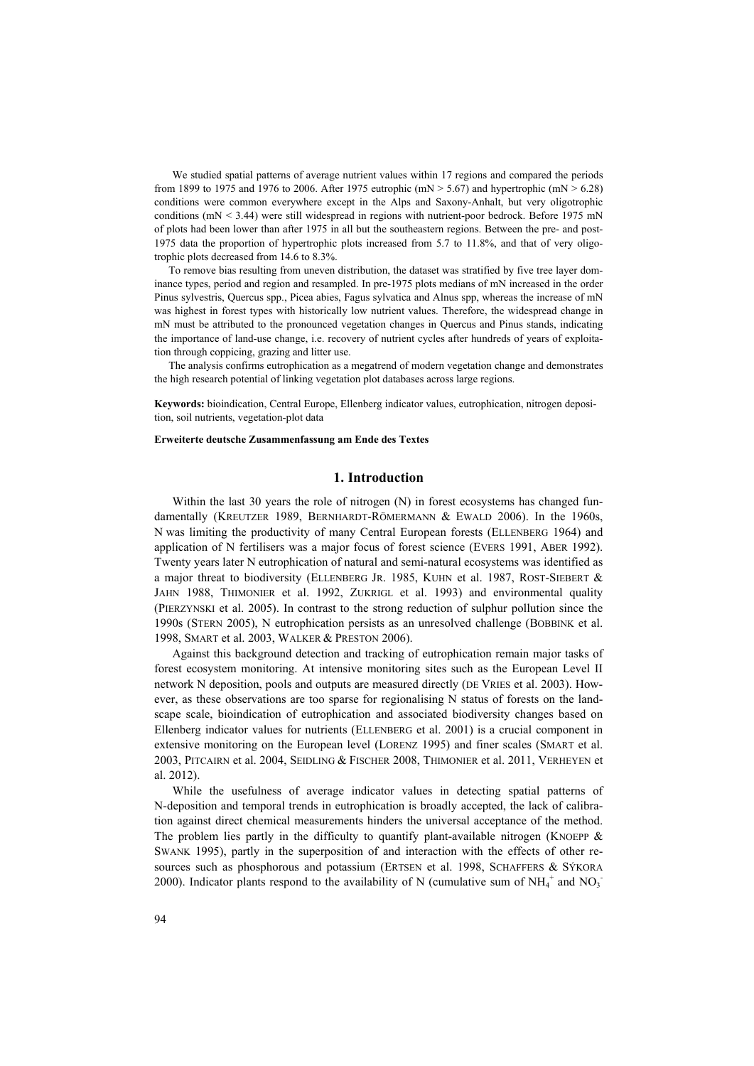We studied spatial patterns of average nutrient values within 17 regions and compared the periods from 1899 to 1975 and 1976 to 2006. After 1975 eutrophic (mN  $>$  5.67) and hypertrophic (mN  $>$  6.28) conditions were common everywhere except in the Alps and Saxony-Anhalt, but very oligotrophic conditions ( $mN < 3.44$ ) were still widespread in regions with nutrient-poor bedrock. Before 1975 mN of plots had been lower than after 1975 in all but the southeastern regions. Between the pre- and post-1975 data the proportion of hypertrophic plots increased from 5.7 to 11.8%, and that of very oligotrophic plots decreased from 14.6 to 8.3%.

To remove bias resulting from uneven distribution, the dataset was stratified by five tree layer dominance types, period and region and resampled. In pre-1975 plots medians of mN increased in the order Pinus sylvestris, Quercus spp., Picea abies, Fagus sylvatica and Alnus spp, whereas the increase of mN was highest in forest types with historically low nutrient values. Therefore, the widespread change in mN must be attributed to the pronounced vegetation changes in Quercus and Pinus stands, indicating the importance of land-use change, i.e. recovery of nutrient cycles after hundreds of years of exploitation through coppicing, grazing and litter use.

The analysis confirms eutrophication as a megatrend of modern vegetation change and demonstrates the high research potential of linking vegetation plot databases across large regions.

**Keywords:** bioindication, Central Europe, Ellenberg indicator values, eutrophication, nitrogen deposition, soil nutrients, vegetation-plot data

#### **Erweiterte deutsche Zusammenfassung am Ende des Textes**

## **1. Introduction**

Within the last 30 years the role of nitrogen (N) in forest ecosystems has changed fundamentally (KREUTZER 1989, BERNHARDT-RÖMERMANN & EWALD 2006). In the 1960s, N was limiting the productivity of many Central European forests (ELLENBERG 1964) and application of N fertilisers was a major focus of forest science (EVERS 1991, ABER 1992). Twenty years later N eutrophication of natural and semi-natural ecosystems was identified as a major threat to biodiversity (ELLENBERG JR. 1985, KUHN et al. 1987, ROST-SIEBERT & JAHN 1988, THIMONIER et al. 1992, ZUKRIGL et al. 1993) and environmental quality (PIERZYNSKI et al. 2005). In contrast to the strong reduction of sulphur pollution since the 1990s (STERN 2005), N eutrophication persists as an unresolved challenge (BOBBINK et al. 1998, SMART et al. 2003, WALKER & PRESTON 2006).

Against this background detection and tracking of eutrophication remain major tasks of forest ecosystem monitoring. At intensive monitoring sites such as the European Level II network N deposition, pools and outputs are measured directly (DE VRIES et al. 2003). However, as these observations are too sparse for regionalising N status of forests on the landscape scale, bioindication of eutrophication and associated biodiversity changes based on Ellenberg indicator values for nutrients (ELLENBERG et al. 2001) is a crucial component in extensive monitoring on the European level (LORENZ 1995) and finer scales (SMART et al. 2003, PITCAIRN et al. 2004, SEIDLING & FISCHER 2008, THIMONIER et al. 2011, VERHEYEN et al. 2012).

While the usefulness of average indicator values in detecting spatial patterns of N-deposition and temporal trends in eutrophication is broadly accepted, the lack of calibration against direct chemical measurements hinders the universal acceptance of the method. The problem lies partly in the difficulty to quantify plant-available nitrogen (KNOEPP  $\&$ SWANK 1995), partly in the superposition of and interaction with the effects of other resources such as phosphorous and potassium (ERTSEN et al. 1998, SCHAFFERS & SÝKORA 2000). Indicator plants respond to the availability of N (cumulative sum of  $NH_4^+$  and  $NO_3^-$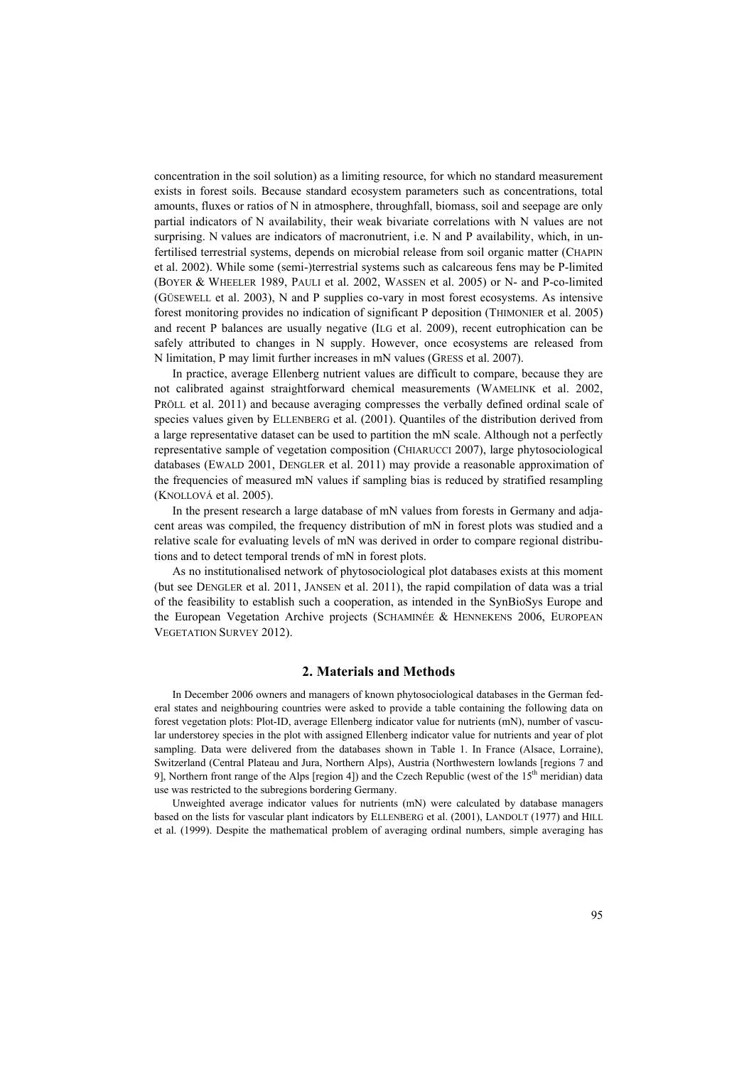concentration in the soil solution) as a limiting resource, for which no standard measurement exists in forest soils. Because standard ecosystem parameters such as concentrations, total amounts, fluxes or ratios of N in atmosphere, throughfall, biomass, soil and seepage are only partial indicators of N availability, their weak bivariate correlations with N values are not surprising. N values are indicators of macronutrient, i.e. N and P availability, which, in unfertilised terrestrial systems, depends on microbial release from soil organic matter (CHAPIN et al. 2002). While some (semi-)terrestrial systems such as calcareous fens may be P-limited (BOYER & WHEELER 1989, PAULI et al. 2002, WASSEN et al. 2005) or N- and P-co-limited (GÜSEWELL et al. 2003), N and P supplies co-vary in most forest ecosystems. As intensive forest monitoring provides no indication of significant P deposition (THIMONIER et al. 2005) and recent P balances are usually negative (ILG et al. 2009), recent eutrophication can be safely attributed to changes in N supply. However, once ecosystems are released from N limitation, P may limit further increases in mN values (GRESS et al. 2007).

In practice, average Ellenberg nutrient values are difficult to compare, because they are not calibrated against straightforward chemical measurements (WAMELINK et al. 2002, PRÖLL et al. 2011) and because averaging compresses the verbally defined ordinal scale of species values given by ELLENBERG et al. (2001). Quantiles of the distribution derived from a large representative dataset can be used to partition the mN scale. Although not a perfectly representative sample of vegetation composition (CHIARUCCI 2007), large phytosociological databases (EWALD 2001, DENGLER et al. 2011) may provide a reasonable approximation of the frequencies of measured mN values if sampling bias is reduced by stratified resampling (KNOLLOVÁ et al. 2005).

In the present research a large database of mN values from forests in Germany and adjacent areas was compiled, the frequency distribution of mN in forest plots was studied and a relative scale for evaluating levels of mN was derived in order to compare regional distributions and to detect temporal trends of mN in forest plots.

As no institutionalised network of phytosociological plot databases exists at this moment (but see DENGLER et al. 2011, JANSEN et al. 2011), the rapid compilation of data was a trial of the feasibility to establish such a cooperation, as intended in the SynBioSys Europe and the European Vegetation Archive projects (SCHAMINÉE & HENNEKENS 2006, EUROPEAN VEGETATION SURVEY 2012).

## **2. Materials and Methods**

In December 2006 owners and managers of known phytosociological databases in the German federal states and neighbouring countries were asked to provide a table containing the following data on forest vegetation plots: Plot-ID, average Ellenberg indicator value for nutrients (mN), number of vascular understorey species in the plot with assigned Ellenberg indicator value for nutrients and year of plot sampling. Data were delivered from the databases shown in Table 1. In France (Alsace, Lorraine), Switzerland (Central Plateau and Jura, Northern Alps), Austria (Northwestern lowlands [regions 7 and 9], Northern front range of the Alps [region 4]) and the Czech Republic (west of the 15<sup>th</sup> meridian) data use was restricted to the subregions bordering Germany.

Unweighted average indicator values for nutrients (mN) were calculated by database managers based on the lists for vascular plant indicators by ELLENBERG et al. (2001), LANDOLT (1977) and HILL et al. (1999). Despite the mathematical problem of averaging ordinal numbers, simple averaging has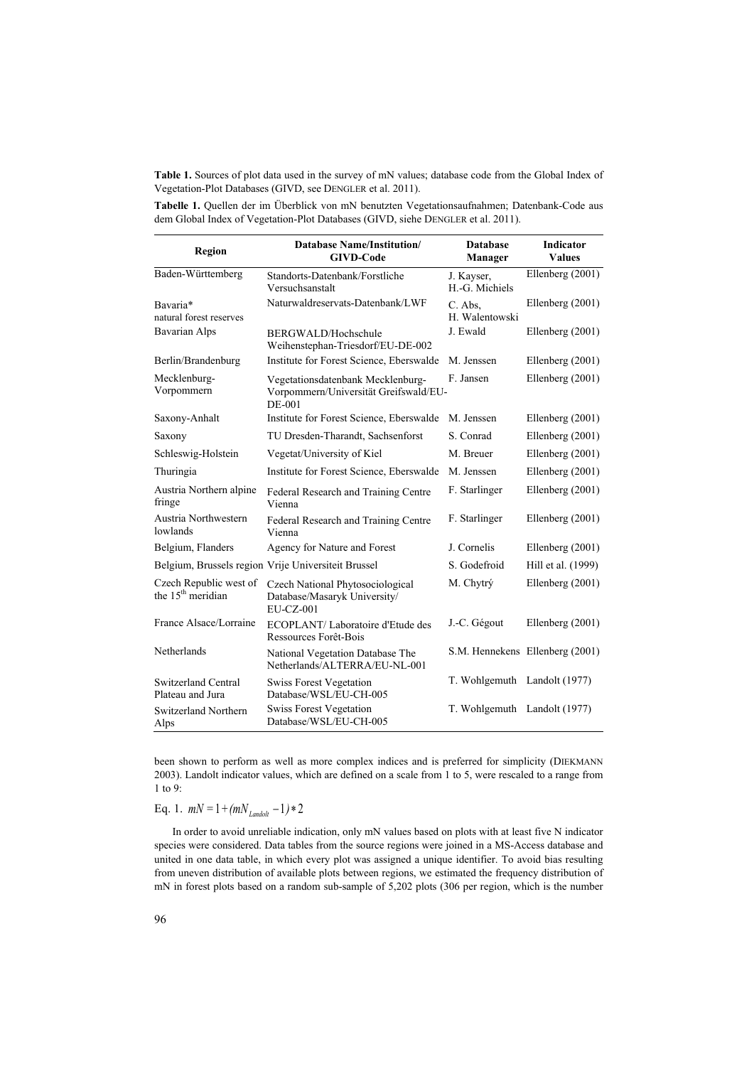**Table 1.** Sources of plot data used in the survey of mN values; database code from the Global Index of Vegetation-Plot Databases (GIVD, see DENGLER et al. 2011).

**Tabelle 1.** Quellen der im Überblick von mN benutzten Vegetationsaufnahmen; Datenbank-Code aus dem Global Index of Vegetation-Plot Databases (GIVD, siehe DENGLER et al. 2011).

| Region                                                  | <b>Database Name/Institution/</b><br><b>GIVD-Code</b>                                | <b>Database</b><br>Manager   | <b>Indicator</b><br><b>Values</b> |
|---------------------------------------------------------|--------------------------------------------------------------------------------------|------------------------------|-----------------------------------|
| Baden-Württemberg                                       | Standorts-Datenbank/Forstliche<br>Versuchsanstalt                                    | J. Kayser,<br>H.-G. Michiels | Ellenberg (2001)                  |
| Bavaria*<br>natural forest reserves                     | Naturwaldreservats-Datenbank/LWF                                                     | C. Abs.<br>H. Walentowski    | Ellenberg (2001)                  |
| <b>Bavarian Alps</b>                                    | BERGWALD/Hochschule<br>Weihenstephan-Triesdorf/EU-DE-002                             | J. Ewald                     | Ellenberg (2001)                  |
| Berlin/Brandenburg                                      | Institute for Forest Science, Eberswalde                                             | M. Jenssen                   | Ellenberg (2001)                  |
| Mecklenburg-<br>Vorpommern                              | Vegetationsdatenbank Mecklenburg-<br>Vorpommern/Universität Greifswald/EU-<br>DE-001 | F. Jansen                    | Ellenberg $(2001)$                |
| Saxony-Anhalt                                           | Institute for Forest Science, Eberswalde                                             | M. Jenssen                   | Ellenberg $(2001)$                |
| Saxony                                                  | TU Dresden-Tharandt, Sachsenforst                                                    | S. Conrad                    | Ellenberg (2001)                  |
| Schleswig-Holstein                                      | Vegetat/University of Kiel                                                           | M. Breuer                    | Ellenberg $(2001)$                |
| Thuringia                                               | Institute for Forest Science, Eberswalde                                             | M. Jenssen                   | Ellenberg (2001)                  |
| Austria Northern alpine<br>fringe                       | Federal Research and Training Centre<br>Vienna                                       | F. Starlinger                | Ellenberg (2001)                  |
| Austria Northwestern<br>lowlands                        | Federal Research and Training Centre<br>Vienna                                       | F. Starlinger                | Ellenberg $(2001)$                |
| Belgium, Flanders                                       | Agency for Nature and Forest                                                         | J. Cornelis                  | Ellenberg $(2001)$                |
|                                                         | Belgium, Brussels region Vrije Universiteit Brussel                                  | S. Godefroid                 | Hill et al. (1999)                |
| Czech Republic west of<br>the 15 <sup>th</sup> meridian | Czech National Phytosociological<br>Database/Masaryk University/<br>EU-CZ-001        | M. Chytrý                    | Ellenberg (2001)                  |
| France Alsace/Lorraine                                  | ECOPLANT/Laboratoire d'Etude des<br>Ressources Forêt-Bois                            | J.-C. Gégout                 | Ellenberg (2001)                  |
| Netherlands                                             | National Vegetation Database The<br>Netherlands/ALTERRA/EU-NL-001                    |                              | S.M. Hennekens Ellenberg (2001)   |
| Switzerland Central<br>Plateau and Jura                 | <b>Swiss Forest Vegetation</b><br>Database/WSL/EU-CH-005                             | T. Wohlgemuth Landolt (1977) |                                   |
| Switzerland Northern<br>Alps                            | <b>Swiss Forest Vegetation</b><br>Database/WSL/EU-CH-005                             | T. Wohlgemuth Landolt (1977) |                                   |

been shown to perform as well as more complex indices and is preferred for simplicity (DIEKMANN 2003). Landolt indicator values, which are defined on a scale from 1 to 5, were rescaled to a range from 1 to 9:

Eq. 1.  $mN = 1 + (mN_{Lapdolt} - 1) * 2$ 

In order to avoid unreliable indication, only mN values based on plots with at least five N indicator species were considered. Data tables from the source regions were joined in a MS-Access database and united in one data table, in which every plot was assigned a unique identifier. To avoid bias resulting from uneven distribution of available plots between regions, we estimated the frequency distribution of mN in forest plots based on a random sub-sample of 5,202 plots (306 per region, which is the number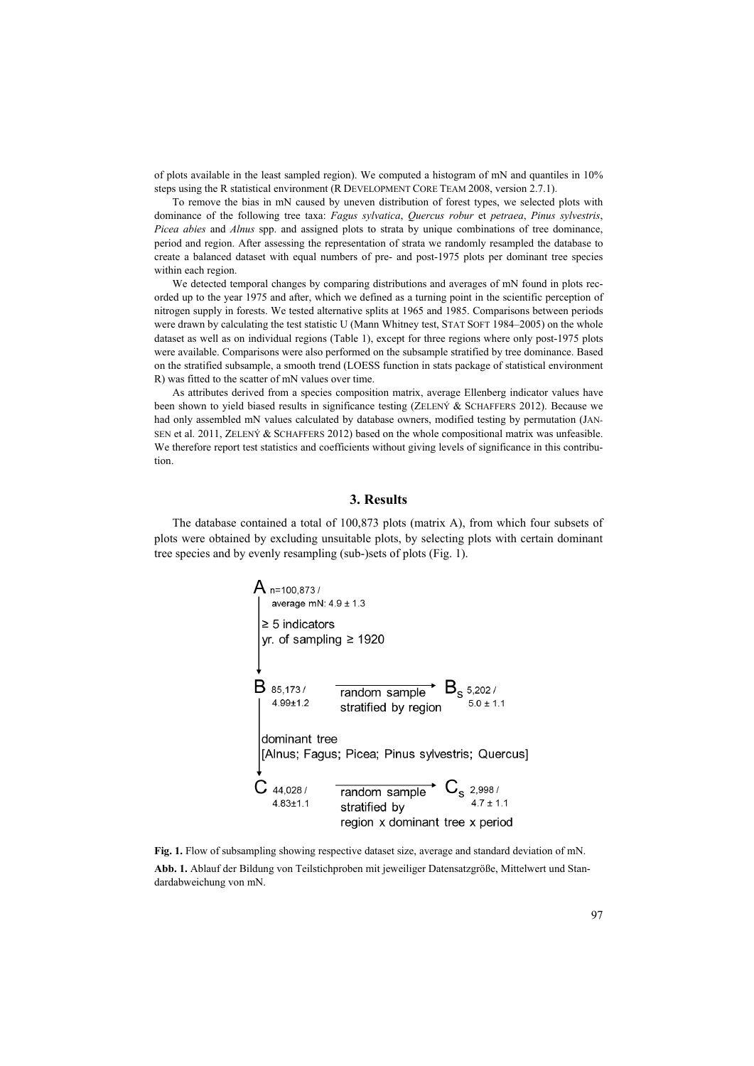of plots available in the least sampled region). We computed a histogram of mN and quantiles in 10% steps using the R statistical environment (R DEVELOPMENT CORE TEAM 2008, version 2.7.1).

To remove the bias in mN caused by uneven distribution of forest types, we selected plots with dominance of the following tree taxa: *Fagus sylvatica*, *Quercus robur* et *petraea*, *Pinus sylvestris*, *Picea abies* and *Alnus* spp. and assigned plots to strata by unique combinations of tree dominance, period and region. After assessing the representation of strata we randomly resampled the database to create a balanced dataset with equal numbers of pre- and post-1975 plots per dominant tree species within each region.

We detected temporal changes by comparing distributions and averages of mN found in plots recorded up to the year 1975 and after, which we defined as a turning point in the scientific perception of nitrogen supply in forests. We tested alternative splits at 1965 and 1985. Comparisons between periods were drawn by calculating the test statistic U (Mann Whitney test, STAT SOFT 1984–2005) on the whole dataset as well as on individual regions (Table 1), except for three regions where only post-1975 plots were available. Comparisons were also performed on the subsample stratified by tree dominance. Based on the stratified subsample, a smooth trend (LOESS function in stats package of statistical environment R) was fitted to the scatter of mN values over time.

As attributes derived from a species composition matrix, average Ellenberg indicator values have been shown to yield biased results in significance testing (ZELENÝ & SCHAFFERS 2012). Because we had only assembled mN values calculated by database owners, modified testing by permutation (JAN-SEN et al. 2011, ZELENÝ & SCHAFFERS 2012) based on the whole compositional matrix was unfeasible. We therefore report test statistics and coefficients without giving levels of significance in this contribution.

## **3. Results**

The database contained a total of 100,873 plots (matrix A), from which four subsets of plots were obtained by excluding unsuitable plots, by selecting plots with certain dominant tree species and by evenly resampling (sub-)sets of plots (Fig. 1).



**Fig. 1.** Flow of subsampling showing respective dataset size, average and standard deviation of mN. **Abb. 1.** Ablauf der Bildung von Teilstichproben mit jeweiliger Datensatzgröße, Mittelwert und Standardabweichung von mN.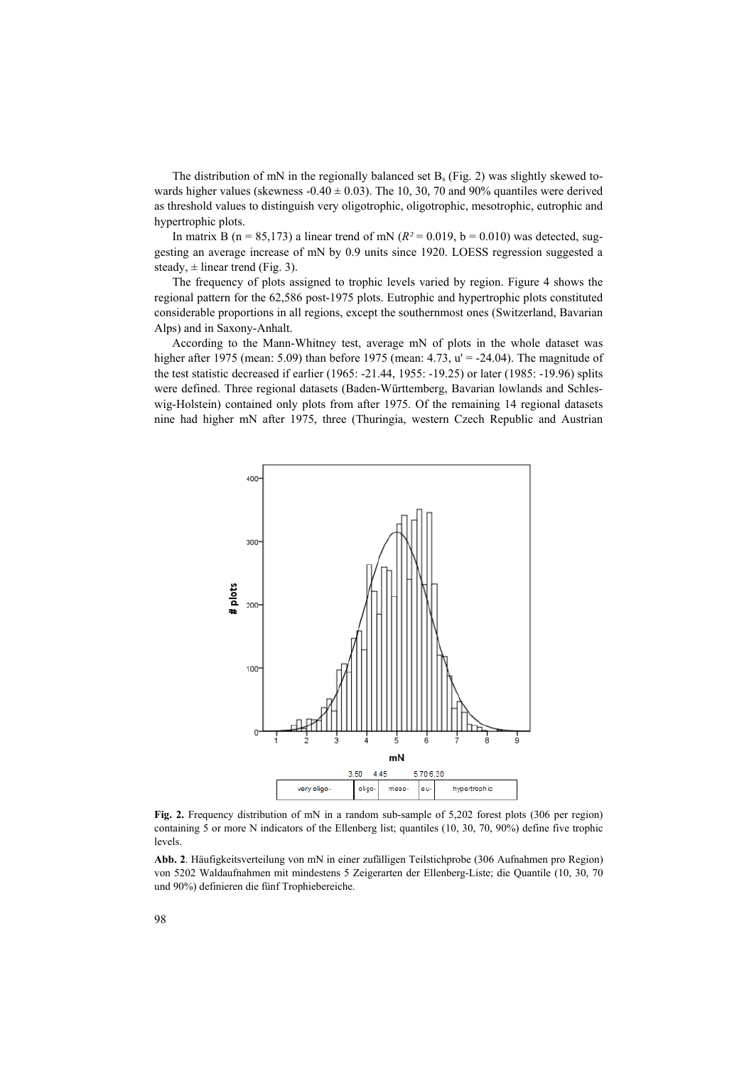The distribution of mN in the regionally balanced set  $B_s$  (Fig. 2) was slightly skewed towards higher values (skewness  $-0.40 \pm 0.03$ ). The 10, 30, 70 and 90% quantiles were derived as threshold values to distinguish very oligotrophic, oligotrophic, mesotrophic, eutrophic and hypertrophic plots.

In matrix B ( $n = 85,173$ ) a linear trend of mN ( $R<sup>2</sup> = 0.019$ ,  $b = 0.010$ ) was detected, suggesting an average increase of mN by 0.9 units since 1920. LOESS regression suggested a steady,  $\pm$  linear trend (Fig. 3).

The frequency of plots assigned to trophic levels varied by region. Figure 4 shows the regional pattern for the 62,586 post-1975 plots. Eutrophic and hypertrophic plots constituted considerable proportions in all regions, except the southernmost ones (Switzerland, Bavarian Alps) and in Saxony-Anhalt.

According to the Mann-Whitney test, average mN of plots in the whole dataset was higher after 1975 (mean: 5.09) than before 1975 (mean: 4.73,  $u' = -24.04$ ). The magnitude of the test statistic decreased if earlier (1965: -21.44, 1955: -19.25) or later (1985: -19.96) splits were defined. Three regional datasets (Baden-Württemberg, Bavarian lowlands and Schleswig-Holstein) contained only plots from after 1975. Of the remaining 14 regional datasets nine had higher mN after 1975, three (Thuringia, western Czech Republic and Austrian



Fig. 2. Frequency distribution of mN in a random sub-sample of 5,202 forest plots (306 per region) containing 5 or more N indicators of the Ellenberg list; quantiles (10, 30, 70, 90%) define five trophic levels.

**Abb. 2**. Häufigkeitsverteilung von mN in einer zufälligen Teilstichprobe (306 Aufnahmen pro Region) von 5202 Waldaufnahmen mit mindestens 5 Zeigerarten der Ellenberg-Liste; die Quantile (10, 30, 70 und 90%) definieren die fünf Trophiebereiche.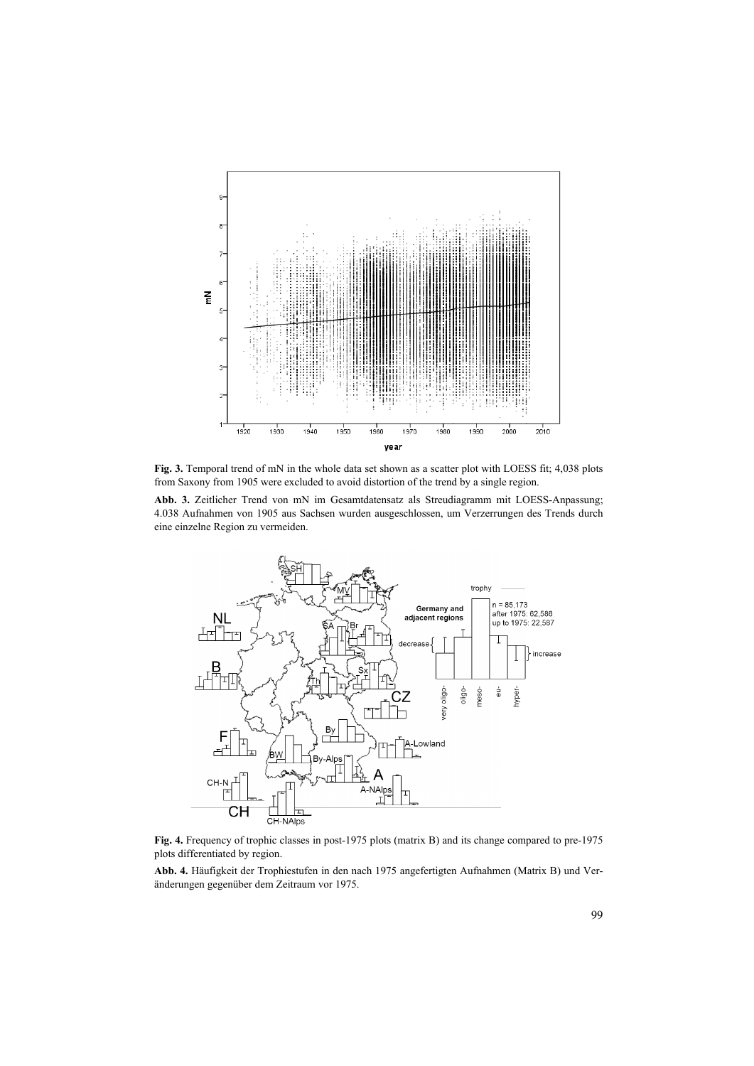

**Fig. 3.** Temporal trend of mN in the whole data set shown as a scatter plot with LOESS fit; 4,038 plots from Saxony from 1905 were excluded to avoid distortion of the trend by a single region.

**Abb. 3.** Zeitlicher Trend von mN im Gesamtdatensatz als Streudiagramm mit LOESS-Anpassung; 4.038 Aufnahmen von 1905 aus Sachsen wurden ausgeschlossen, um Verzerrungen des Trends durch eine einzelne Region zu vermeiden.



**Fig. 4.** Frequency of trophic classes in post-1975 plots (matrix B) and its change compared to pre-1975 plots differentiated by region.

**Abb. 4.** Häufigkeit der Trophiestufen in den nach 1975 angefertigten Aufnahmen (Matrix B) und Veränderungen gegenüber dem Zeitraum vor 1975.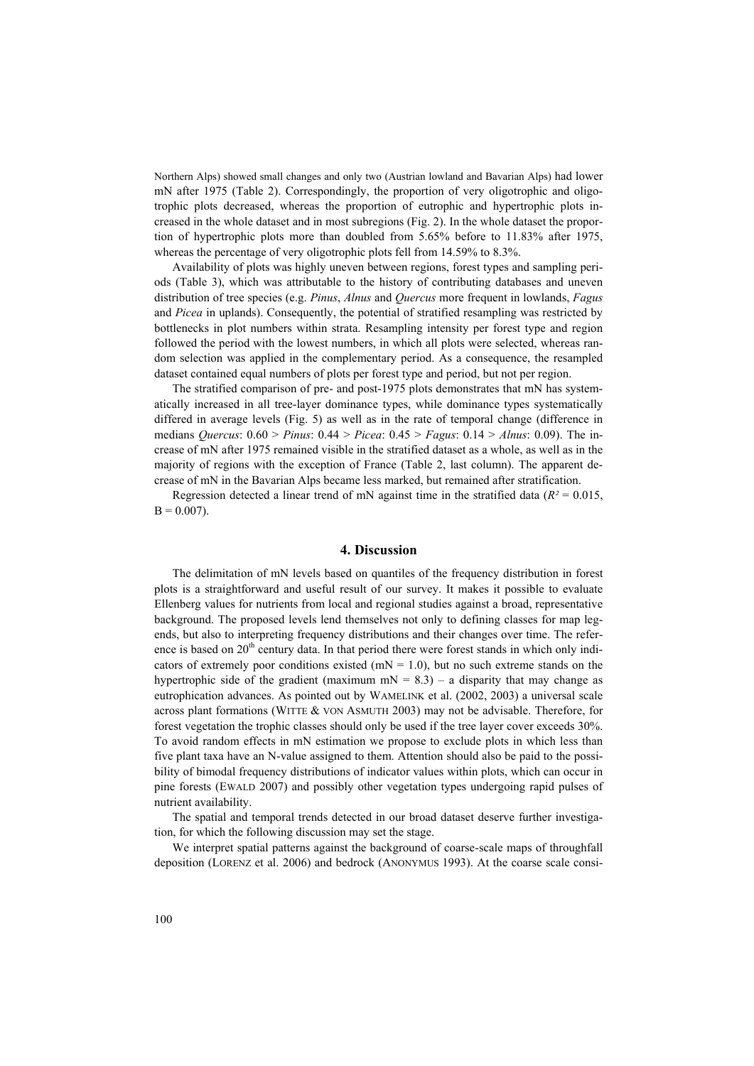Northern Alps) showed small changes and only two (Austrian lowland and Bavarian Alps) had lower mN after 1975 (Table 2). Correspondingly, the proportion of very oligotrophic and oligotrophic plots decreased, whereas the proportion of eutrophic and hypertrophic plots increased in the whole dataset and in most subregions (Fig. 2). In the whole dataset the proportion of hypertrophic plots more than doubled from 5.65% before to 11.83% after 1975, whereas the percentage of very oligotrophic plots fell from 14.59% to 8.3%.

Availability of plots was highly uneven between regions, forest types and sampling periods (Table 3), which was attributable to the history of contributing databases and uneven distribution of tree species (e.g. *Pinus*, *Alnus* and *Quercus* more frequent in lowlands, *Fagus* and *Picea* in uplands). Consequently, the potential of stratified resampling was restricted by bottlenecks in plot numbers within strata. Resampling intensity per forest type and region followed the period with the lowest numbers, in which all plots were selected, whereas random selection was applied in the complementary period. As a consequence, the resampled dataset contained equal numbers of plots per forest type and period, but not per region.

The stratified comparison of pre- and post-1975 plots demonstrates that mN has systematically increased in all tree-layer dominance types, while dominance types systematically differed in average levels (Fig. 5) as well as in the rate of temporal change (difference in medians *Quercus*: 0.60 > *Pinus*: 0.44 > *Picea*: 0.45 > *Fagus*: 0.14 > *Alnus*: 0.09). The increase of mN after 1975 remained visible in the stratified dataset as a whole, as well as in the majority of regions with the exception of France (Table 2, last column). The apparent decrease of mN in the Bavarian Alps became less marked, but remained after stratification.

Regression detected a linear trend of mN against time in the stratified data ( $R<sup>2</sup> = 0.015$ ,  $B = 0.007$ ).

#### **4. Discussion**

The delimitation of mN levels based on quantiles of the frequency distribution in forest plots is a straightforward and useful result of our survey. It makes it possible to evaluate Ellenberg values for nutrients from local and regional studies against a broad, representative background. The proposed levels lend themselves not only to defining classes for map legends, but also to interpreting frequency distributions and their changes over time. The reference is based on  $20<sup>th</sup>$  century data. In that period there were forest stands in which only indicators of extremely poor conditions existed ( $mN = 1.0$ ), but no such extreme stands on the hypertrophic side of the gradient (maximum  $mN = 8.3$ ) – a disparity that may change as eutrophication advances. As pointed out by WAMELINK et al. (2002, 2003) a universal scale across plant formations (WITTE & VON ASMUTH 2003) may not be advisable. Therefore, for forest vegetation the trophic classes should only be used if the tree layer cover exceeds 30%. To avoid random effects in mN estimation we propose to exclude plots in which less than five plant taxa have an N-value assigned to them. Attention should also be paid to the possibility of bimodal frequency distributions of indicator values within plots, which can occur in pine forests (EWALD 2007) and possibly other vegetation types undergoing rapid pulses of nutrient availability.

The spatial and temporal trends detected in our broad dataset deserve further investigation, for which the following discussion may set the stage.

We interpret spatial patterns against the background of coarse-scale maps of throughfall deposition (LORENZ et al. 2006) and bedrock (ANONYMUS 1993). At the coarse scale consi-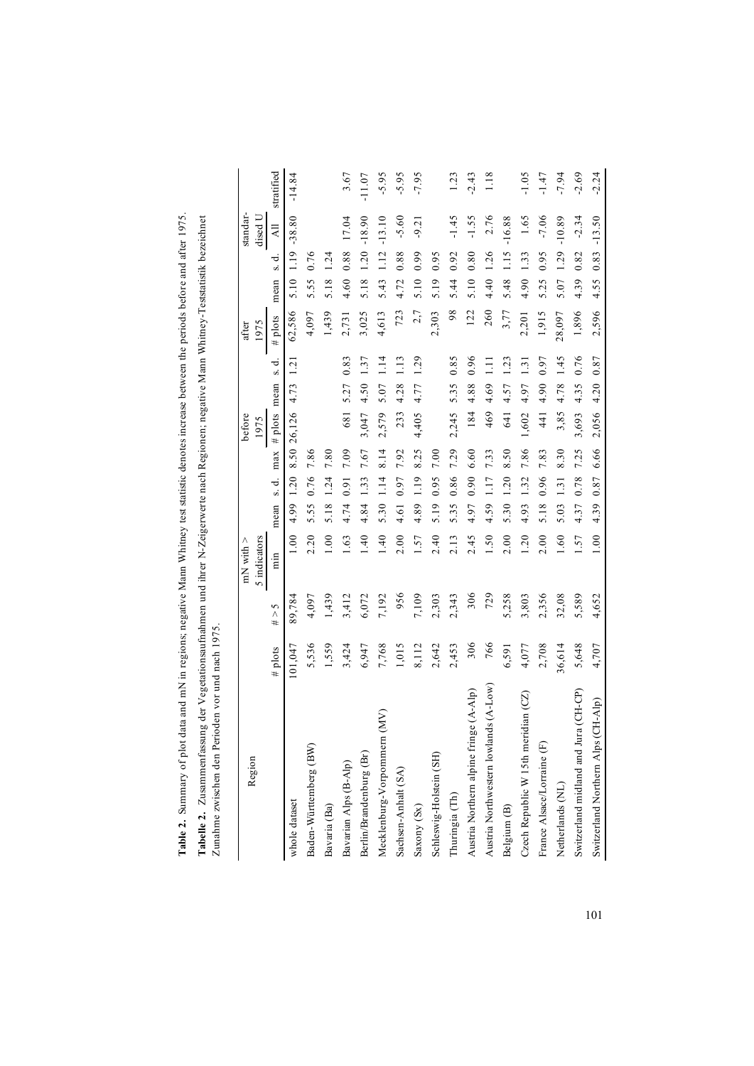| $\ddot{\phantom{a}}$<br>s hetor<br>est statistic denote<br>$\sim$ nn Wn<br>ive N<br>id mN in regions; negat<br>į<br>Im pue erep re<br>Tabl |
|--------------------------------------------------------------------------------------------------------------------------------------------|
| nd ihrer N-Zeigerwer*<br>Tabelle 2.                                                                                                        |
| vischen den Perioden vor un<br>j<br>'nn a hi<br>t                                                                                          |

| Region                                 |         |                          | 5 indicators<br>$mN$ with $>$ |      |       |      | before<br>1975        |             |               | 1975<br>after |      |                 | standar-<br>dised U |            |
|----------------------------------------|---------|--------------------------|-------------------------------|------|-------|------|-----------------------|-------------|---------------|---------------|------|-----------------|---------------------|------------|
|                                        | # plots | $\frac{2}{\lambda}$<br># | min                           | mean | s. d. | max  | # $plots$             | mean        | ℸ<br>S        | # plots       | mean | $\vec{v}$<br>si | $\overline{A}$      | stratified |
| whole dataset                          | 101,047 | 89,784                   | 00.1                          | 4.99 | 1.20  |      | 8.50 26,126 4.73 1.21 |             |               | 62,586        |      | 5.10 1.19       | $-38.80$            | $-14.84$   |
| Baden-Württemberg (BW)                 | 5,536   | 4,097                    | 2.20                          | 5.55 | 0.76  | 7.86 |                       |             |               | 4,097         | 5.55 | 0.76            |                     |            |
| Bavaria (Ba)                           | 1,559   | 1,439                    | 00.1                          | 5.18 | 1.24  | 7.80 |                       |             |               | 1,439         | 5.18 | 1.24            |                     |            |
| Bavarian Alps (B-Alp)                  | 3,424   | 3,412                    | 1.63                          | 4.74 | 0.91  | 7.09 | 681                   | 5.27        | 0.83          | 2,731         | 4.60 | 0.88            | 17.04               | 3.67       |
| Berlin/Brandenburg (Br)                | 6,947   | 6,072                    | $\frac{40}{1}$                | 4.84 | 1.33  | 7.67 | 3,047                 | 4.50        | 1.37          | 3,025         | 5.18 | 1.20            | $-18.90$            | $-11.07$   |
| n(MV)<br>Mecklenburg-Vorpommerr        | 7,768   | 7,192                    | 1.40                          | 5.30 | 1.14  | 8.14 | 2,579                 | $5.07$ 1.14 |               | 4,613         | 5.43 | 1.12            | $-13.10$            | $-5.95$    |
| Sachsen-Anhalt (SA)                    | 1,015   | 956                      | 2.00                          | 4.61 | 0.97  | 7.92 | 233                   | 4.28        | 1.13          | 723           | 4.72 | 0.88            | $-5.60$             | $-5.95$    |
| Saxony (Sx)                            | 8,112   | 7,109                    | 1.57                          | 4.89 | 1.19  | 8.25 | 4,405                 | 4.77        | 1.29          | 2,7           | 5.10 | 0.99            | $-9.21$             | $-7.95$    |
| Schleswig-Holstein (SH)                | 2,642   | 2,303                    | 2.40                          | 5.19 | 0.95  | 7.00 |                       |             |               | 2,303         | 5.19 | 0.95            |                     |            |
| Thuringia (Th)                         | 2,453   | 2,343                    | 2.13                          | 5.35 | 0.86  | 7.29 | 2,245                 | 5.35        | 0.85          | 98            | 5.44 | 0.92            | $-1.45$             | 1.23       |
| Austria Northern alpine fringe (A-Alp) | 306     | 306                      | 2.45                          | 4.97 | 0.90  | 6.60 | 184                   | 4.88        | 0.96          | 122           | 5.10 | 0.80            | $-1.55$             | $-2.43$    |
| Austria Northwestern lowlands (A-Low)  | 766     | 729                      | 1.50                          | 4.59 | 1.17  | 7.33 | 469                   | 4.69        | 1.11          | 260           | 4.40 | 1.26            | 2.76                | 1.18       |
| Belgium (B)                            | 6,591   | 5,258                    | 2.00                          | 5.30 | 1.20  | 8.50 | 641                   | 4.57        | 1.23          | 3,77          | 5.48 | 1.15            | $-16.88$            |            |
| Czech Republic W 15th meridian (CZ)    | 4,077   | 3,803                    | 1.20                          | 4.93 | 1.32  | 7.86 | 1,602                 | 4.97        | $\frac{1}{2}$ | 2,201         | 4.90 | 1.33            | 1.65                | $-1.05$    |
| France Alsace/Lorraine (F)             | 2,708   | 2,356                    | 2.00                          | 5.18 | 0.96  | 7.83 | 441                   | 4.90        | 0.97          | 1,915         | 5.25 | 0.95            | $-7.06$             | $-1.47$    |
| Netherlands (NL)                       | 36,614  | 32,08                    | 1.60                          | 5.03 | 1.31  | 8.30 | 3,85                  | 4.78        | 1.45          | 28,097        | 5.07 | 1.29            | $-10.89$            | $-7.94$    |
| Switzerland midland and Jura (CH-CP)   | 5,648   | 5,589                    | 1.57                          | 4.37 | 0.78  | 7.25 | 3,693                 | 4.35        | 0.76          | 1,896         | 4.39 | 0.82            | $-2.34$             | $-2.69$    |
| Switzerland Northern Alps (CH-Alp)     | 4,707   | 4,652                    | 1.00                          | 4.39 | 0.87  | 6.66 | 2,056                 | 4.20 0.87   |               | 2,596         | 4.55 | 0.83            | $-13.50$            | $-2.24$    |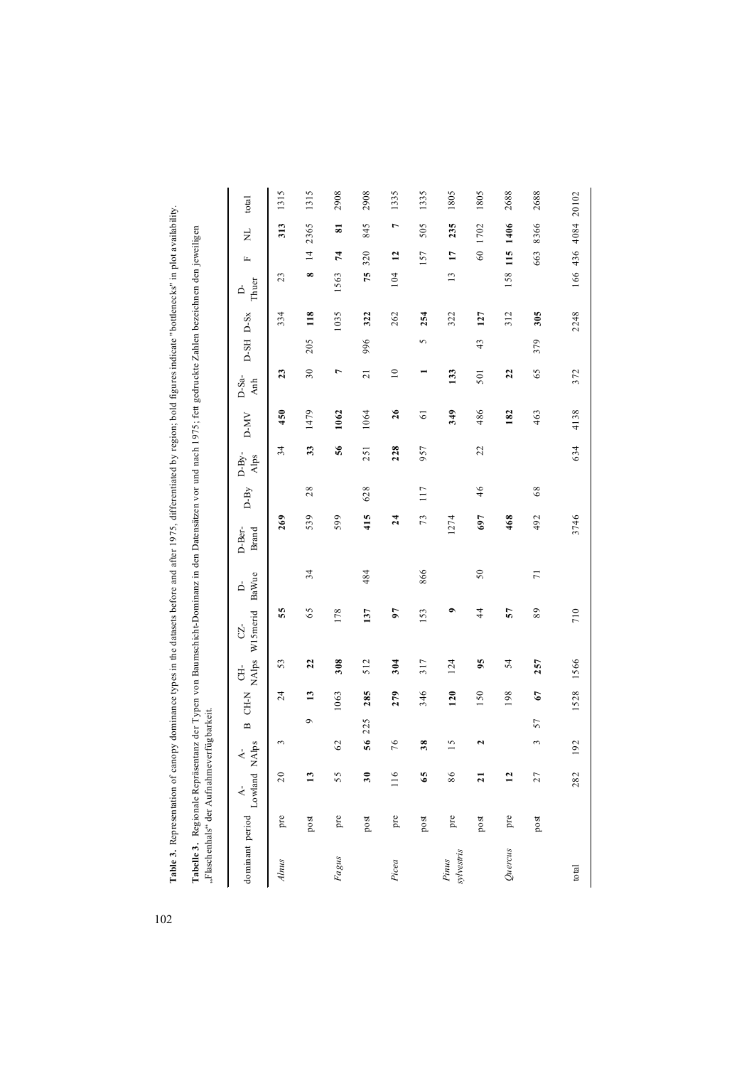| canopy dominance types in the datasets before and after 1975, differentiated by region; bold figures indicate "bottlenecks" in plot availat<br>Table 3. Representation of           |
|-------------------------------------------------------------------------------------------------------------------------------------------------------------------------------------|
| abelle 3. Regionale Repräsentanz der Typen von Baumschicht-Dominanz in den Datensätzen vor und nach 1975; fett gedruckte Zahlen bezeichnen den jeweiligen<br>aschenhals" der Aufnah |
|                                                                                                                                                                                     |

| TIAL AFFIRM THAT I AND CITATION THAT THE                                                                      |                            |  | 100 |  |               |                   |                 |        |                 |                |                 |     |           |                   |                 |                         |                    |
|---------------------------------------------------------------------------------------------------------------|----------------------------|--|-----|--|---------------|-------------------|-----------------|--------|-----------------|----------------|-----------------|-----|-----------|-------------------|-----------------|-------------------------|--------------------|
| NAlps W15merid<br>$\mathbb{C}$<br>Ė<br>CH-N<br>$\mathbf{a}$<br>$A - A$ dominant period $A$ -<br>Lowland NAlps |                            |  |     |  |               | BaWue<br>$\Delta$ | D-Ber-<br>Brand | $D-By$ | $D-By-$<br>Alps | D-MV           | $D-Sa-$<br>Anh  |     | D-SH D-Sx | Thuer<br>$\Delta$ | $\mathbb{L}$    | Ę                       | total              |
| 53<br>$\overline{24}$<br>3<br>20<br>pre                                                                       |                            |  |     |  | 55            |                   | 269             |        | 34              | 450            | 23              |     | 334       | 23                |                 | 313                     | 1315               |
| 22<br>13<br>$\sigma$<br>ొ<br>post                                                                             |                            |  |     |  | 65            | 34                | 539             | 28     | 33              | 1479           | 30              | 205 | 118       | $\infty$          | $\overline{1}$  | 2365                    | 1315               |
| 308<br>1063<br>62<br>55<br>pre                                                                                |                            |  |     |  | 178           |                   | 599             |        | 56              | 1062           | $\overline{ }$  |     | 1035      | 1563              | 74              | $\overline{\mathbf{s}}$ | 2908               |
| 512<br>285<br>225<br>56<br>30<br>post                                                                         |                            |  |     |  | 137           | 484               | 415             | 628    | 251             | 1064           | $\overline{21}$ | 996 | 322       | 75                | 320             | 845                     | 2908               |
| 304<br>279<br>76<br>116<br>pre                                                                                |                            |  |     |  | 97            |                   | 24              |        | 228             | 26             | $\approx$       |     | 262       | 104               | 12              | $\overline{ }$          | 1335               |
| 317<br>346<br>38<br>65<br>$_{\rm post}$                                                                       |                            |  |     |  | 153           | 866               | 73              | 117    | 957             | $\overline{6}$ |                 | 5   | 254       |                   | 157             | 505                     | 1335               |
| 124<br>120<br>5<br>86<br>pre                                                                                  |                            |  |     |  | $\bullet$     |                   | 1274            |        |                 | 349            | 133             |     | 322       | $\frac{1}{2}$     | $\overline{17}$ | 235                     | 1805               |
| 95<br>150<br>2<br>$\overline{a}$<br>post                                                                      |                            |  |     |  | $\frac{4}{4}$ | $50\,$            | 697             | 46     | 22              | 486            | 501             | 43  | 127       |                   | $60\,$          | 1702                    | 1805               |
| 54<br>198<br>$\overline{12}$<br>pre                                                                           |                            |  |     |  | 57            |                   | 468             |        |                 | 182            | 22              |     | 312       | 158               | 115             | 1406                    | 2688               |
| 257<br>67<br>57<br>3<br>27<br>$_{\rm post}$                                                                   |                            |  |     |  | 89            | $\overline{7}$    | 492             | $68$   |                 | 463            | 65              | 379 | 305       |                   | 663             | 8366                    | 2688               |
|                                                                                                               | 1566<br>1528<br>192<br>282 |  |     |  | 710           |                   | 3746            |        | 634             | 4138           | 372             |     | 2248      |                   |                 |                         | 166 436 4084 20102 |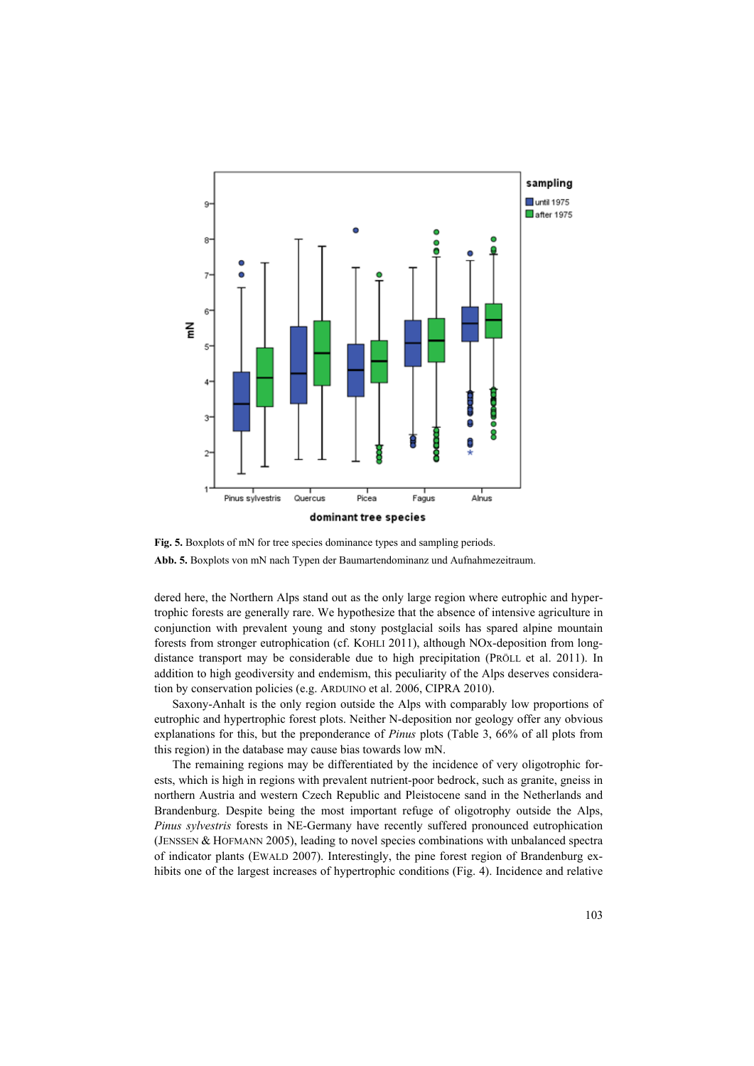

**Fig. 5.** Boxplots of mN for tree species dominance types and sampling periods. **Abb. 5.** Boxplots von mN nach Typen der Baumartendominanz und Aufnahmezeitraum.

dered here, the Northern Alps stand out as the only large region where eutrophic and hypertrophic forests are generally rare. We hypothesize that the absence of intensive agriculture in conjunction with prevalent young and stony postglacial soils has spared alpine mountain forests from stronger eutrophication (cf. KOHLI 2011), although NOx-deposition from longdistance transport may be considerable due to high precipitation (PRÖLL et al. 2011). In addition to high geodiversity and endemism, this peculiarity of the Alps deserves consideration by conservation policies (e.g. ARDUINO et al. 2006, CIPRA 2010).

Saxony-Anhalt is the only region outside the Alps with comparably low proportions of eutrophic and hypertrophic forest plots. Neither N-deposition nor geology offer any obvious explanations for this, but the preponderance of *Pinus* plots (Table 3, 66% of all plots from this region) in the database may cause bias towards low mN.

The remaining regions may be differentiated by the incidence of very oligotrophic forests, which is high in regions with prevalent nutrient-poor bedrock, such as granite, gneiss in northern Austria and western Czech Republic and Pleistocene sand in the Netherlands and Brandenburg. Despite being the most important refuge of oligotrophy outside the Alps, *Pinus sylvestris* forests in NE-Germany have recently suffered pronounced eutrophication (JENSSEN & HOFMANN 2005), leading to novel species combinations with unbalanced spectra of indicator plants (EWALD 2007). Interestingly, the pine forest region of Brandenburg exhibits one of the largest increases of hypertrophic conditions (Fig. 4). Incidence and relative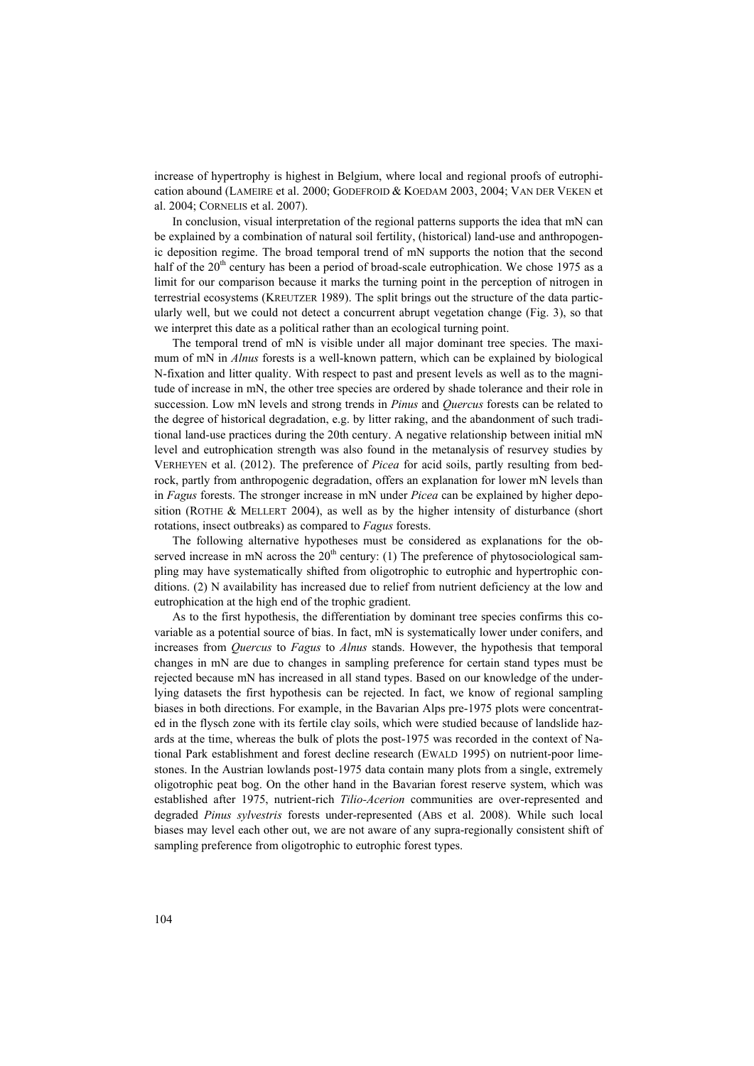increase of hypertrophy is highest in Belgium, where local and regional proofs of eutrophication abound (LAMEIRE et al. 2000; GODEFROID & KOEDAM 2003, 2004; VAN DER VEKEN et al. 2004; CORNELIS et al. 2007).

In conclusion, visual interpretation of the regional patterns supports the idea that mN can be explained by a combination of natural soil fertility, (historical) land-use and anthropogenic deposition regime. The broad temporal trend of mN supports the notion that the second half of the  $20<sup>th</sup>$  century has been a period of broad-scale eutrophication. We chose 1975 as a limit for our comparison because it marks the turning point in the perception of nitrogen in terrestrial ecosystems (KREUTZER 1989). The split brings out the structure of the data particularly well, but we could not detect a concurrent abrupt vegetation change (Fig. 3), so that we interpret this date as a political rather than an ecological turning point.

The temporal trend of mN is visible under all major dominant tree species. The maximum of mN in *Alnus* forests is a well-known pattern, which can be explained by biological N-fixation and litter quality. With respect to past and present levels as well as to the magnitude of increase in mN, the other tree species are ordered by shade tolerance and their role in succession. Low mN levels and strong trends in *Pinus* and *Quercus* forests can be related to the degree of historical degradation, e.g. by litter raking, and the abandonment of such traditional land-use practices during the 20th century. A negative relationship between initial mN level and eutrophication strength was also found in the metanalysis of resurvey studies by VERHEYEN et al. (2012). The preference of *Picea* for acid soils, partly resulting from bedrock, partly from anthropogenic degradation, offers an explanation for lower mN levels than in *Fagus* forests. The stronger increase in mN under *Picea* can be explained by higher deposition (ROTHE & MELLERT 2004), as well as by the higher intensity of disturbance (short rotations, insect outbreaks) as compared to *Fagus* forests.

The following alternative hypotheses must be considered as explanations for the observed increase in mN across the  $20<sup>th</sup>$  century: (1) The preference of phytosociological sampling may have systematically shifted from oligotrophic to eutrophic and hypertrophic conditions. (2) N availability has increased due to relief from nutrient deficiency at the low and eutrophication at the high end of the trophic gradient.

As to the first hypothesis, the differentiation by dominant tree species confirms this covariable as a potential source of bias. In fact, mN is systematically lower under conifers, and increases from *Quercus* to *Fagus* to *Alnus* stands. However, the hypothesis that temporal changes in mN are due to changes in sampling preference for certain stand types must be rejected because mN has increased in all stand types. Based on our knowledge of the underlying datasets the first hypothesis can be rejected. In fact, we know of regional sampling biases in both directions. For example, in the Bavarian Alps pre-1975 plots were concentrated in the flysch zone with its fertile clay soils, which were studied because of landslide hazards at the time, whereas the bulk of plots the post-1975 was recorded in the context of National Park establishment and forest decline research (EWALD 1995) on nutrient-poor limestones. In the Austrian lowlands post-1975 data contain many plots from a single, extremely oligotrophic peat bog. On the other hand in the Bavarian forest reserve system, which was established after 1975, nutrient-rich *Tilio-Acerion* communities are over-represented and degraded *Pinus sylvestris* forests under-represented (ABS et al. 2008). While such local biases may level each other out, we are not aware of any supra-regionally consistent shift of sampling preference from oligotrophic to eutrophic forest types.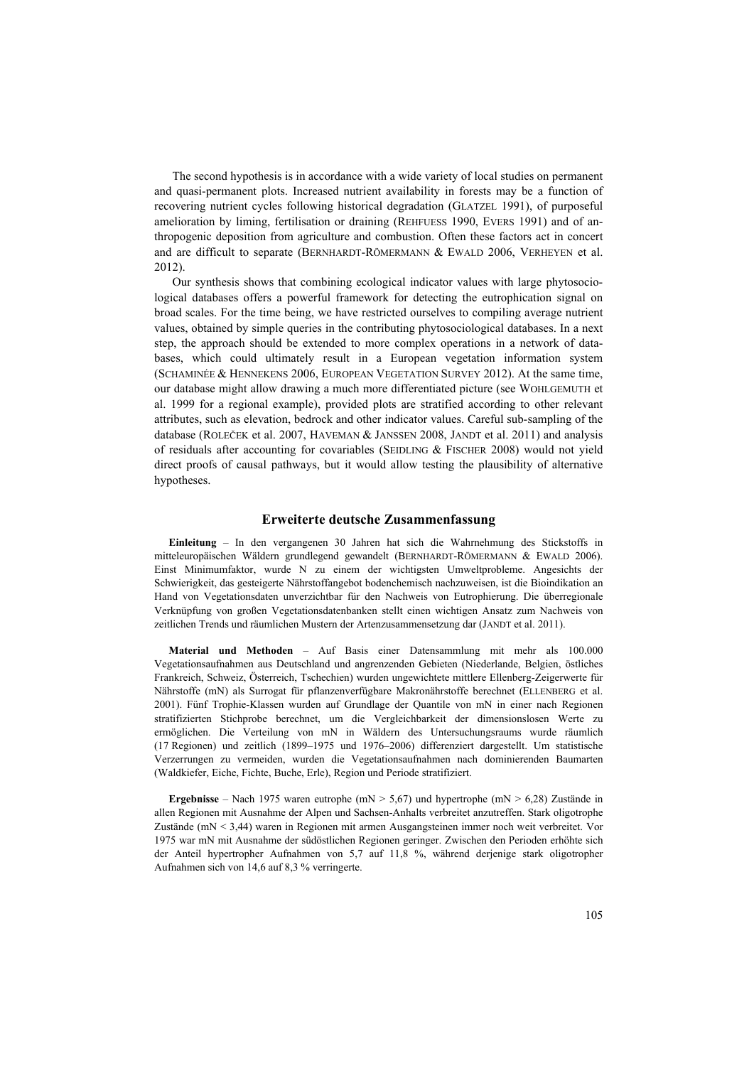The second hypothesis is in accordance with a wide variety of local studies on permanent and quasi-permanent plots. Increased nutrient availability in forests may be a function of recovering nutrient cycles following historical degradation (GLATZEL 1991), of purposeful amelioration by liming, fertilisation or draining (REHFUESS 1990, EVERS 1991) and of anthropogenic deposition from agriculture and combustion. Often these factors act in concert and are difficult to separate (BERNHARDT-RÖMERMANN & EWALD 2006, VERHEYEN et al. 2012).

Our synthesis shows that combining ecological indicator values with large phytosociological databases offers a powerful framework for detecting the eutrophication signal on broad scales. For the time being, we have restricted ourselves to compiling average nutrient values, obtained by simple queries in the contributing phytosociological databases. In a next step, the approach should be extended to more complex operations in a network of databases, which could ultimately result in a European vegetation information system (SCHAMINÉE & HENNEKENS 2006, EUROPEAN VEGETATION SURVEY 2012). At the same time, our database might allow drawing a much more differentiated picture (see WOHLGEMUTH et al. 1999 for a regional example), provided plots are stratified according to other relevant attributes, such as elevation, bedrock and other indicator values. Careful sub-sampling of the database (ROLEČEK et al. 2007, HAVEMAN & JANSSEN 2008, JANDT et al. 2011) and analysis of residuals after accounting for covariables (SEIDLING & FISCHER 2008) would not yield direct proofs of causal pathways, but it would allow testing the plausibility of alternative hypotheses.

### **Erweiterte deutsche Zusammenfassung**

**Einleitung** – In den vergangenen 30 Jahren hat sich die Wahrnehmung des Stickstoffs in mitteleuropäischen Wäldern grundlegend gewandelt (BERNHARDT-RÖMERMANN & EWALD 2006). Einst Minimumfaktor, wurde N zu einem der wichtigsten Umweltprobleme. Angesichts der Schwierigkeit, das gesteigerte Nährstoffangebot bodenchemisch nachzuweisen, ist die Bioindikation an Hand von Vegetationsdaten unverzichtbar für den Nachweis von Eutrophierung. Die überregionale Verknüpfung von großen Vegetationsdatenbanken stellt einen wichtigen Ansatz zum Nachweis von zeitlichen Trends und räumlichen Mustern der Artenzusammensetzung dar (JANDT et al. 2011).

**Material und Methoden** – Auf Basis einer Datensammlung mit mehr als 100.000 Vegetationsaufnahmen aus Deutschland und angrenzenden Gebieten (Niederlande, Belgien, östliches Frankreich, Schweiz, Österreich, Tschechien) wurden ungewichtete mittlere Ellenberg-Zeigerwerte für Nährstoffe (mN) als Surrogat für pflanzenverfügbare Makronährstoffe berechnet (ELLENBERG et al. 2001). Fünf Trophie-Klassen wurden auf Grundlage der Quantile von mN in einer nach Regionen stratifizierten Stichprobe berechnet, um die Vergleichbarkeit der dimensionslosen Werte zu ermöglichen. Die Verteilung von mN in Wäldern des Untersuchungsraums wurde räumlich (17 Regionen) und zeitlich (1899–1975 und 1976–2006) differenziert dargestellt. Um statistische Verzerrungen zu vermeiden, wurden die Vegetationsaufnahmen nach dominierenden Baumarten (Waldkiefer, Eiche, Fichte, Buche, Erle), Region und Periode stratifiziert.

**Ergebnisse** – Nach 1975 waren eutrophe (mN > 5,67) und hypertrophe (mN > 6,28) Zustände in allen Regionen mit Ausnahme der Alpen und Sachsen-Anhalts verbreitet anzutreffen. Stark oligotrophe Zustände (mN < 3,44) waren in Regionen mit armen Ausgangsteinen immer noch weit verbreitet. Vor 1975 war mN mit Ausnahme der südöstlichen Regionen geringer. Zwischen den Perioden erhöhte sich der Anteil hypertropher Aufnahmen von 5,7 auf 11,8 %, während derjenige stark oligotropher Aufnahmen sich von 14,6 auf 8,3 % verringerte.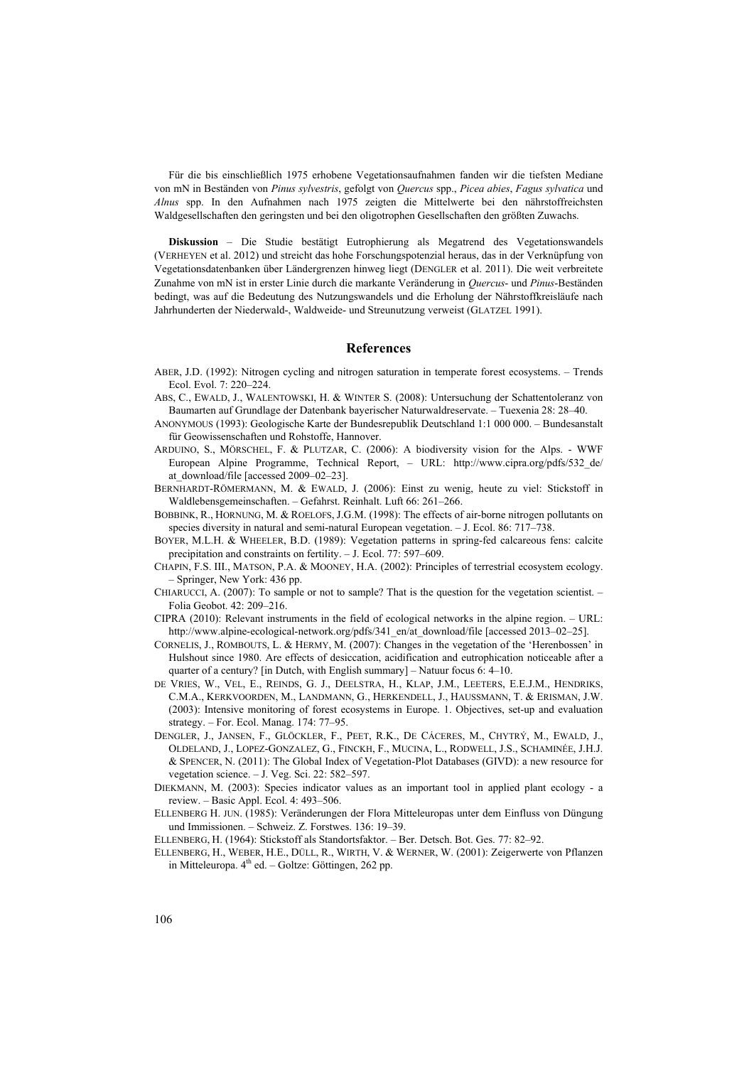Für die bis einschließlich 1975 erhobene Vegetationsaufnahmen fanden wir die tiefsten Mediane von mN in Beständen von *Pinus sylvestris*, gefolgt von *Quercus* spp., *Picea abies*, *Fagus sylvatica* und *Alnus* spp. In den Aufnahmen nach 1975 zeigten die Mittelwerte bei den nährstoffreichsten Waldgesellschaften den geringsten und bei den oligotrophen Gesellschaften den größten Zuwachs.

**Diskussion** – Die Studie bestätigt Eutrophierung als Megatrend des Vegetationswandels (VERHEYEN et al. 2012) und streicht das hohe Forschungspotenzial heraus, das in der Verknüpfung von Vegetationsdatenbanken über Ländergrenzen hinweg liegt (DENGLER et al. 2011). Die weit verbreitete Zunahme von mN ist in erster Linie durch die markante Veränderung in *Quercus*- und *Pinus*-Beständen bedingt, was auf die Bedeutung des Nutzungswandels und die Erholung der Nährstoffkreisläufe nach Jahrhunderten der Niederwald-, Waldweide- und Streunutzung verweist (GLATZEL 1991).

#### **References**

- ABER, J.D. (1992): Nitrogen cycling and nitrogen saturation in temperate forest ecosystems. Trends Ecol. Evol. 7: 220–224.
- ABS, C., EWALD, J., WALENTOWSKI, H. & WINTER S. (2008): Untersuchung der Schattentoleranz von Baumarten auf Grundlage der Datenbank bayerischer Naturwaldreservate. – Tuexenia 28: 28–40.
- ANONYMOUS (1993): Geologische Karte der Bundesrepublik Deutschland 1:1 000 000. Bundesanstalt für Geowissenschaften und Rohstoffe, Hannover.
- ARDUINO, S., MÖRSCHEL, F. & PLUTZAR, C. (2006): A biodiversity vision for the Alps. WWF European Alpine Programme, Technical Report, – URL: [http://www.cipra.org/pdfs/532\\_de/](http://www.cipra.org/pdfs/532_de/at_download/file) [at\\_download/file](http://www.cipra.org/pdfs/532_de/at_download/file) [accessed 2009–02–23].
- BERNHARDT-RÖMERMANN, M. & EWALD, J. (2006): Einst zu wenig, heute zu viel: Stickstoff in Waldlebensgemeinschaften. – Gefahrst. Reinhalt. Luft 66: 261–266.
- BOBBINK, R., HORNUNG, M. & ROELOFS, J.G.M. (1998): The effects of air-borne nitrogen pollutants on species diversity in natural and semi-natural European vegetation. – J. Ecol. 86: 717–738.
- BOYER, M.L.H. & WHEELER, B.D. (1989): Vegetation patterns in spring-fed calcareous fens: calcite precipitation and constraints on fertility. – J. Ecol. 77: 597–609.
- CHAPIN, F.S. III., MATSON, P.A. & MOONEY, H.A. (2002): Principles of terrestrial ecosystem ecology. – Springer, New York: 436 pp.
- CHIARUCCI, A. (2007): To sample or not to sample? That is the question for the vegetation scientist. Folia Geobot. 42: 209–216.
- CIPRA (2010): Relevant instruments in the field of ecological networks in the alpine region. URL: [http://www.alpine-ecological-network.org/pdfs/341\\_en/at\\_download/file](http://www.alpine-ecological-network.org/pdfs/341_en/at_download/file) [accessed 2013–02–25].
- CORNELIS, J., ROMBOUTS, L. & HERMY, M. (2007): Changes in the vegetation of the 'Herenbossen' in Hulshout since 1980. Are effects of desiccation, acidification and eutrophication noticeable after a quarter of a century? [in Dutch, with English summary] – Natuur focus 6: 4–10.
- DE VRIES, W., VEL, E., REINDS, G. J., DEELSTRA, H., KLAP, J.M., LEETERS, E.E.J.M., HENDRIKS, C.M.A., KERKVOORDEN, M., LANDMANN, G., HERKENDELL, J., HAUSSMANN, T. & ERISMAN, J.W. (2003): Intensive monitoring of forest ecosystems in Europe. 1. Objectives, set-up and evaluation strategy. – For. Ecol. Manag. 174: 77–95.
- DENGLER, J., JANSEN, F., GLÖCKLER, F., PEET, R.K., DE CÁCERES, M., CHYTRÝ, M., EWALD, J., OLDELAND, J., LOPEZ-GONZALEZ, G., FINCKH, F., MUCINA, L., RODWELL, J.S., SCHAMINÉE, J.H.J. & SPENCER, N. (2011): The Global Index of Vegetation-Plot Databases (GIVD): a new resource for vegetation science. – J. Veg. Sci. 22: 582–597.
- DIEKMANN, M. (2003): Species indicator values as an important tool in applied plant ecology a review. – Basic Appl. Ecol. 4: 493–506.
- ELLENBERG H. JUN. (1985): Veränderungen der Flora Mitteleuropas unter dem Einfluss von Düngung und Immissionen. – Schweiz. Z. Forstwes. 136: 19–39.
- ELLENBERG, H. (1964): Stickstoff als Standortsfaktor. Ber. Detsch. Bot. Ges. 77: 82–92.
- ELLENBERG, H., WEBER, H.E., DÜLL, R., WIRTH, V. & WERNER, W. (2001): Zeigerwerte von Pflanzen in Mitteleuropa. 4<sup>th</sup> ed. – Goltze: Göttingen, 262 pp.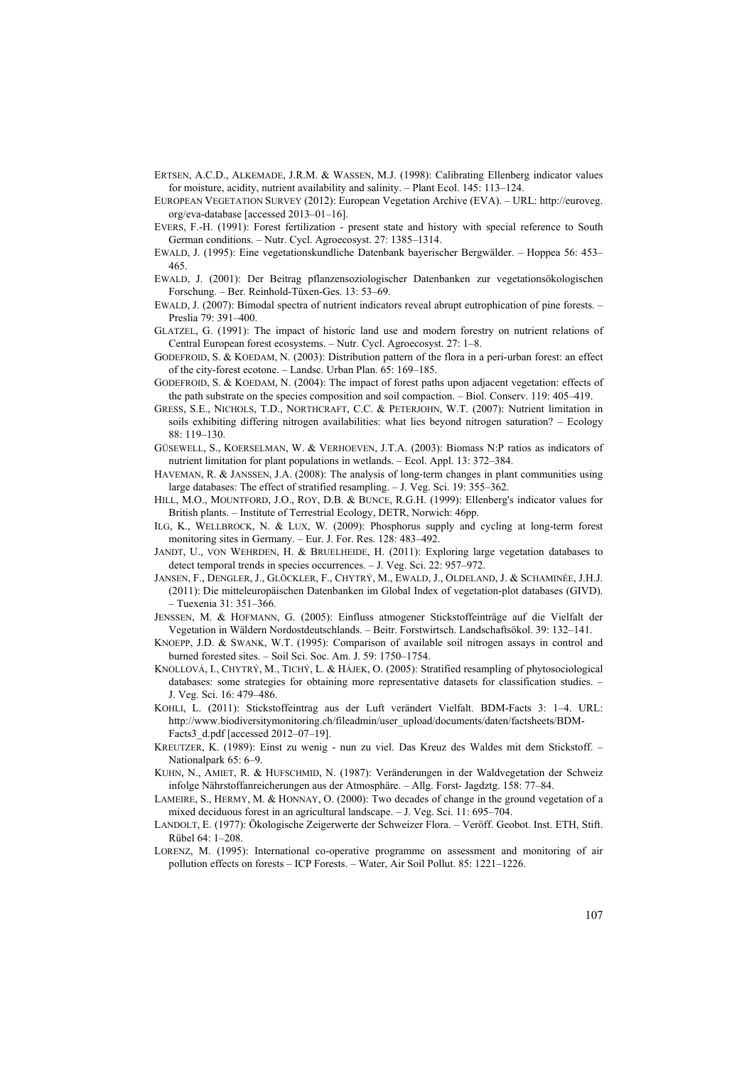- ERTSEN, A.C.D., ALKEMADE, J.R.M. & WASSEN, M.J. (1998): Calibrating Ellenberg indicator values for moisture, acidity, nutrient availability and salinity. – Plant Ecol. 145: 113–124.
- EUROPEAN VEGETATION SURVEY (2012): European Vegetation Archive (EVA). URL: http://euroveg. org/eva-database [accessed 2013–01–16].
- EVERS, F.-H. (1991): Forest fertilization present state and history with special reference to South German conditions. – Nutr. Cycl. Agroecosyst. 27: 1385–1314.
- EWALD, J. (1995): Eine vegetationskundliche Datenbank bayerischer Bergwälder. Hoppea 56: 453– 465.
- EWALD, J. (2001): Der Beitrag pflanzensoziologischer Datenbanken zur vegetationsökologischen Forschung. – Ber. Reinhold-Tüxen-Ges. 13: 53–69.
- EWALD, J. (2007): Bimodal spectra of nutrient indicators reveal abrupt eutrophication of pine forests. Preslia 79: 391–400.
- GLATZEL, G. (1991): The impact of historic land use and modern forestry on nutrient relations of Central European forest ecosystems. – Nutr. Cycl. Agroecosyst. 27: 1–8.
- GODEFROID, S. & KOEDAM, N. (2003): Distribution pattern of the flora in a peri-urban forest: an effect of the city-forest ecotone. – Landsc. Urban Plan. 65: 169–185.
- GODEFROID, S. & KOEDAM, N. (2004): The impact of forest paths upon adjacent vegetation: effects of the path substrate on the species composition and soil compaction. – Biol. Conserv. 119: 405–419.
- GRESS, S.E., NICHOLS, T.D., NORTHCRAFT, C.C. & PETERJOHN, W.T. (2007): Nutrient limitation in soils exhibiting differing nitrogen availabilities: what lies beyond nitrogen saturation? – Ecology 88: 119–130.
- GÜSEWELL, S., KOERSELMAN, W. & VERHOEVEN, J.T.A. (2003): Biomass N:P ratios as indicators of nutrient limitation for plant populations in wetlands. – Ecol. Appl. 13: 372–384.
- HAVEMAN, R. & JANSSEN, J.A. (2008): The analysis of long-term changes in plant communities using large databases: The effect of stratified resampling. – J. Veg. Sci. 19: 355–362.
- HILL, M.O., MOUNTFORD, J.O., ROY, D.B. & BUNCE, R.G.H. (1999): Ellenberg's indicator values for British plants. – Institute of Terrestrial Ecology, DETR, Norwich: 46pp.
- ILG, K., WELLBROCK, N. & LUX, W. (2009): Phosphorus supply and cycling at long-term forest monitoring sites in Germany. – Eur. J. For. Res. 128: 483–492.
- JANDT, U., VON WEHRDEN, H. & BRUELHEIDE, H. (2011): Exploring large vegetation databases to detect temporal trends in species occurrences. – J. Veg. Sci. 22: 957–972.
- JANSEN, F., DENGLER, J., GLÖCKLER, F., CHYTRÝ, M., EWALD, J., OLDELAND, J. & SCHAMINÉE, J.H.J. (2011): Die mitteleuropäischen Datenbanken im Global Index of vegetation-plot databases (GIVD). – Tuexenia 31: 351–366.
- JENSSEN, M. & HOFMANN, G. (2005): Einfluss atmogener Stickstoffeinträge auf die Vielfalt der Vegetation in Wäldern Nordostdeutschlands. – Beitr. Forstwirtsch. Landschaftsökol. 39: 132–141.
- KNOEPP, J.D. & SWANK, W.T. (1995): Comparison of available soil nitrogen assays in control and burned forested sites. – Soil Sci. Soc. Am. J. 59: 1750–1754.
- KNOLLOVÁ, I., CHYTRÝ, M., TICHÝ, L. & HÁJEK, O. (2005): Stratified resampling of phytosociological databases: some strategies for obtaining more representative datasets for classification studies. – J. Veg. Sci. 16: 479–486.
- KOHLI, L. (2011): Stickstoffeintrag aus der Luft verändert Vielfalt. BDM-Facts 3: 1–4. URL: http://www.biodiversitymonitoring.ch/fileadmin/user\_upload/documents/daten/factsheets/BDM-Facts3 d.pdf [accessed 2012–07–19].
- KREUTZER, K. (1989): Einst zu wenig nun zu viel. Das Kreuz des Waldes mit dem Stickstoff. Nationalpark 65: 6-9
- KUHN, N., AMIET, R. & HUFSCHMID, N. (1987): Veränderungen in der Waldvegetation der Schweiz infolge Nährstoffanreicherungen aus der Atmosphäre. – Allg. Forst- Jagdztg. 158: 77–84.
- LAMEIRE, S., HERMY, M. & HONNAY, O. (2000): Two decades of change in the ground vegetation of a mixed deciduous forest in an agricultural landscape. – J. Veg. Sci. 11: 695–704.
- LANDOLT, E. (1977): Ökologische Zeigerwerte der Schweizer Flora. Veröff. Geobot. Inst. ETH, Stift. Rübel 64: 1–208.
- LORENZ, M. (1995): International co-operative programme on assessment and monitoring of air pollution effects on forests *–* ICP Forests. – Water, Air Soil Pollut. 85: 1221–1226.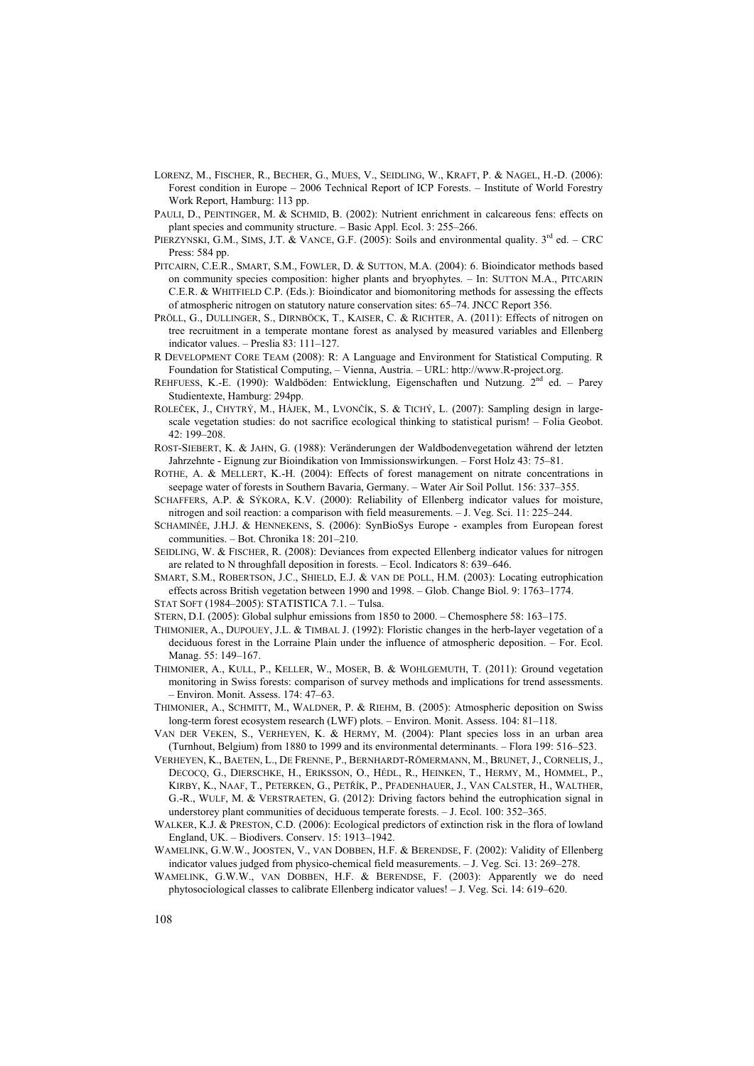- LORENZ, M., FISCHER, R., BECHER, G., MUES, V., SEIDLING, W., KRAFT, P. & NAGEL, H.-D. (2006): Forest condition in Europe – 2006 Technical Report of ICP Forests. – Institute of World Forestry Work Report, Hamburg: 113 pp.
- PAULI, D., PEINTINGER, M. & SCHMID, B. (2002): Nutrient enrichment in calcareous fens: effects on plant species and community structure. – Basic Appl. Ecol. 3: 255–266.
- PIERZYNSKI, G.M., SIMS, J.T. & VANCE, G.F. (2005): Soils and environmental quality. 3<sup>rd</sup> ed. CRC Press: 584 pp.
- PITCAIRN, C.E.R., SMART, S.M., FOWLER, D. & SUTTON, M.A. (2004): 6. Bioindicator methods based on community species composition: higher plants and bryophytes. – In: SUTTON M.A., PITCARIN C.E.R. & WHITFIELD C.P. (Eds.): Bioindicator and biomonitoring methods for assessing the effects of atmospheric nitrogen on statutory nature conservation sites: 65–74. JNCC Report 356.
- PRÖLL, G., DULLINGER, S., DIRNBӦCK, T., KAISER, C. & RICHTER, A. (2011): Effects of nitrogen on tree recruitment in a temperate montane forest as analysed by measured variables and Ellenberg indicator values. – Preslia 83: 111–127.
- R DEVELOPMENT CORE TEAM (2008): R: A Language and Environment for Statistical Computing. R Foundation for Statistical Computing, – Vienna, Austria. – URL: http://www.R-project.org.
- REHFUESS, K.-E. (1990): Waldböden: Entwicklung, Eigenschaften und Nutzung.  $2<sup>nd</sup>$  ed. Parey Studientexte, Hamburg: 294pp.
- ROLEČEK, J., CHYTRÝ, M., HÁJEK, M., LVONČÍK, S. & TICHÝ, L. (2007): Sampling design in largescale vegetation studies: do not sacrifice ecological thinking to statistical purism! – Folia Geobot. 42: 199–208.
- ROST-SIEBERT, K. & JAHN, G. (1988): Veränderungen der Waldbodenvegetation während der letzten Jahrzehnte - Eignung zur Bioindikation von Immissionswirkungen. – Forst Holz 43: 75–81.
- ROTHE, A. & MELLERT, K.-H. (2004): Effects of forest management on nitrate concentrations in seepage water of forests in Southern Bavaria, Germany. – Water Air Soil Pollut. 156: 337–355.
- SCHAFFERS, A.P. & SÝKORA, K.V. (2000): Reliability of Ellenberg indicator values for moisture, nitrogen and soil reaction: a comparison with field measurements. – J. Veg. Sci. 11: 225–244.
- SCHAMINÉE, J.H.J. & HENNEKENS, S. (2006): SynBioSys Europe examples from European forest communities. – Bot. Chronika 18: 201–210.
- SEIDLING, W. & FISCHER, R. (2008): Deviances from expected Ellenberg indicator values for nitrogen are related to N throughfall deposition in forests. – Ecol. Indicators 8: 639–646.
- SMART, S.M., ROBERTSON, J.C., SHIELD, E.J. & VAN DE POLL, H.M. (2003): Locating eutrophication effects across British vegetation between 1990 and 1998. – Glob. Change Biol. 9: 1763–1774.
- STAT SOFT (1984–2005): STATISTICA 7.1. Tulsa.
- STERN, D.I. (2005): Global sulphur emissions from 1850 to 2000. Chemosphere 58: 163–175.
- THIMONIER, A., DUPOUEY, J.L. & TIMBAL J. (1992): Floristic changes in the herb-layer vegetation of a deciduous forest in the Lorraine Plain under the influence of atmospheric deposition. – For. Ecol. Manag. 55: 149–167.
- THIMONIER, A., KULL, P., KELLER, W., MOSER, B. & WOHLGEMUTH, T. (2011): Ground vegetation monitoring in Swiss forests: comparison of survey methods and implications for trend assessments. – Environ. Monit. Assess. 174: 47–63.
- THIMONIER, A., SCHMITT, M., WALDNER, P. & RIEHM, B. (2005): Atmospheric deposition on Swiss long-term forest ecosystem research (LWF) plots. – Environ. Monit. Assess. 104: 81–118.
- VAN DER VEKEN, S., VERHEYEN, K. & HERMY, M. (2004): Plant species loss in an urban area (Turnhout, Belgium) from 1880 to 1999 and its environmental determinants. – Flora 199: 516–523.
- VERHEYEN, K., BAETEN, L., DE FRENNE, P., BERNHARDT-RÖMERMANN, M., BRUNET, J., CORNELIS, J., DECOCQ, G., DIERSCHKE, H., ERIKSSON, O., HÉDL, R., HEINKEN, T., HERMY, M., HOMMEL, P., KIRBY, K., NAAF, T., PETERKEN, G., PETŘÍK, P., PFADENHAUER, J., VAN CALSTER, H., WALTHER, G.-R., WULF, M. & VERSTRAETEN, G. (2012): Driving factors behind the eutrophication signal in understorey plant communities of deciduous temperate forests. – J. Ecol. 100: 352–365.
- WALKER, K.J. & PRESTON, C.D. (2006): Ecological predictors of extinction risk in the flora of lowland England, UK. – Biodivers. Conserv. 15: 1913–1942.
- WAMELINK, G.W.W., JOOSTEN, V., VAN DOBBEN, H.F. & BERENDSE, F. (2002): Validity of Ellenberg indicator values judged from physico-chemical field measurements. – J. Veg. Sci. 13: 269–278.
- WAMELINK, G.W.W., VAN DOBBEN, H.F. & BERENDSE, F. (2003): Apparently we do need phytosociological classes to calibrate Ellenberg indicator values! – J. Veg. Sci. 14: 619–620.